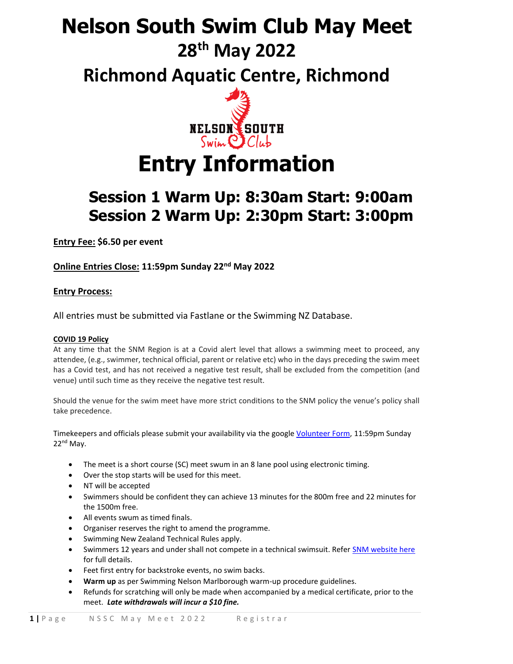# **Nelson South Swim Club May Meet**

## **28th May 2022**

**Richmond Aquatic Centre, Richmond**



# **Entry Information**

### **Session 1 Warm Up: 8:30am Start: 9:00am Session 2 Warm Up: 2:30pm Start: 3:00pm**

**Entry Fee: \$6.50 per event**

**Online Entries Close: 11:59pm Sunday 22nd May 2022**

### **Entry Process:**

All entries must be submitted via Fastlane or the Swimming NZ Database.

#### **COVID 19 Policy**

At any time that the SNM Region is at a Covid alert level that allows a swimming meet to proceed, any attendee, (e.g., swimmer, technical official, parent or relative etc) who in the days preceding the swim meet has a Covid test, and has not received a negative test result, shall be excluded from the competition (and venue) until such time as they receive the negative test result.

Should the venue for the swim meet have more strict conditions to the SNM policy the venue's policy shall take precedence.

Timekeepers and officials please submit your availability via the google [Volunteer Form,](https://forms.gle/P3VqPqxBd7tNdsts5) 11:59pm Sunday 22<sup>nd</sup> May.

- The meet is a short course (SC) meet swum in an 8 lane pool using electronic timing.
- Over the stop starts will be used for this meet.
- NT will be accepted
- Swimmers should be confident they can achieve 13 minutes for the 800m free and 22 minutes for the 1500m free.
- All events swum as timed finals.
- Organiser reserves the right to amend the programme.
- Swimming New Zealand Technical Rules apply.
- Swimmers 12 years and under shall not compete in a technical swimsuit. Refer [SNM website here](https://www.snm.org.nz/files/SNM_Tech_Suit_Policy-Nov2018.pdf) for full details.
- Feet first entry for backstroke events, no swim backs.
- **Warm up** as per Swimming Nelson Marlborough warm-up procedure guidelines.
- Refunds for scratching will only be made when accompanied by a medical certificate, prior to the meet. *Late withdrawals will incur a \$10 fine.*